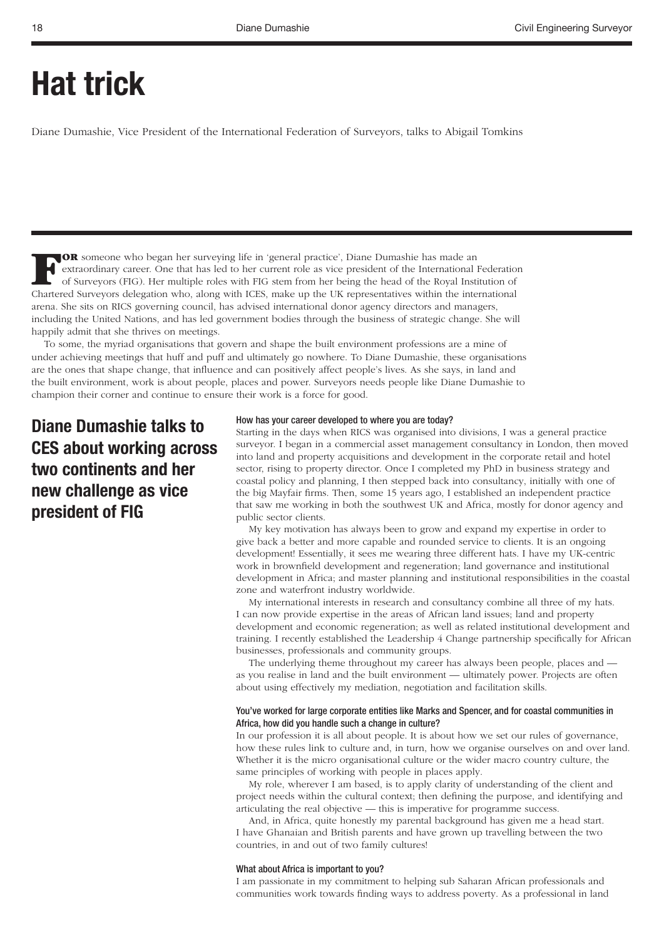# **Hat trick**

Diane Dumashie, Vice President of the International Federation of Surveyors, talks to Abigail Tomkins

**FOR** someone who began her surveying life in 'general practice', Diane Dumashie has made an extraordinary career. One that has led to her current role as vice president of the International Federation of Surveyors (FIG). Her multiple roles with FIG stem from her being the head of the Royal Institution of Chartered Surveyors delegation who, along with ICES, make up the UK representatives within the international arena. She sits on RICS governing council, has advised international donor agency directors and managers, including the United Nations, and has led government bodies through the business of strategic change. She will happily admit that she thrives on meetings.

To some, the myriad organisations that govern and shape the built environment professions are a mine of under achieving meetings that huff and puff and ultimately go nowhere. To Diane Dumashie, these organisations are the ones that shape change, that influence and can positively affect people's lives. As she says, in land and the built environment, work is about people, places and power. Surveyors needs people like Diane Dumashie to champion their corner and continue to ensure their work is a force for good.

**Diane Dumashie talks to CES about working across two continents and her new challenge as vice president of FIG**

# How has your career developed to where you are today?

Starting in the days when RICS was organised into divisions, I was a general practice surveyor. I began in a commercial asset management consultancy in London, then moved into land and property acquisitions and development in the corporate retail and hotel sector, rising to property director. Once I completed my PhD in business strategy and coastal policy and planning, I then stepped back into consultancy, initially with one of the big Mayfair firms. Then, some 15 years ago, I established an independent practice that saw me working in both the southwest UK and Africa, mostly for donor agency and public sector clients.

My key motivation has always been to grow and expand my expertise in order to give back a better and more capable and rounded service to clients. It is an ongoing development! Essentially, it sees me wearing three different hats. I have my UK-centric work in brownfield development and regeneration; land governance and institutional development in Africa; and master planning and institutional responsibilities in the coastal zone and waterfront industry worldwide.

My international interests in research and consultancy combine all three of my hats. I can now provide expertise in the areas of African land issues; land and property development and economic regeneration; as well as related institutional development and training. I recently established the Leadership 4 Change partnership specifically for African businesses, professionals and community groups.

The underlying theme throughout my career has always been people, places and as you realise in land and the built environment — ultimately power. Projects are often about using effectively my mediation, negotiation and facilitation skills.

### You've worked for large corporate entities like Marks and Spencer, and for coastal communities in Africa, how did you handle such a change in culture?

In our profession it is all about people. It is about how we set our rules of governance, how these rules link to culture and, in turn, how we organise ourselves on and over land. Whether it is the micro organisational culture or the wider macro country culture, the same principles of working with people in places apply.

My role, wherever I am based, is to apply clarity of understanding of the client and project needs within the cultural context; then defining the purpose, and identifying and articulating the real objective — this is imperative for programme success.

And, in Africa, quite honestly my parental background has given me a head start. I have Ghanaian and British parents and have grown up travelling between the two countries, in and out of two family cultures!

#### What about Africa is important to you?

I am passionate in my commitment to helping sub Saharan African professionals and communities work towards finding ways to address poverty. As a professional in land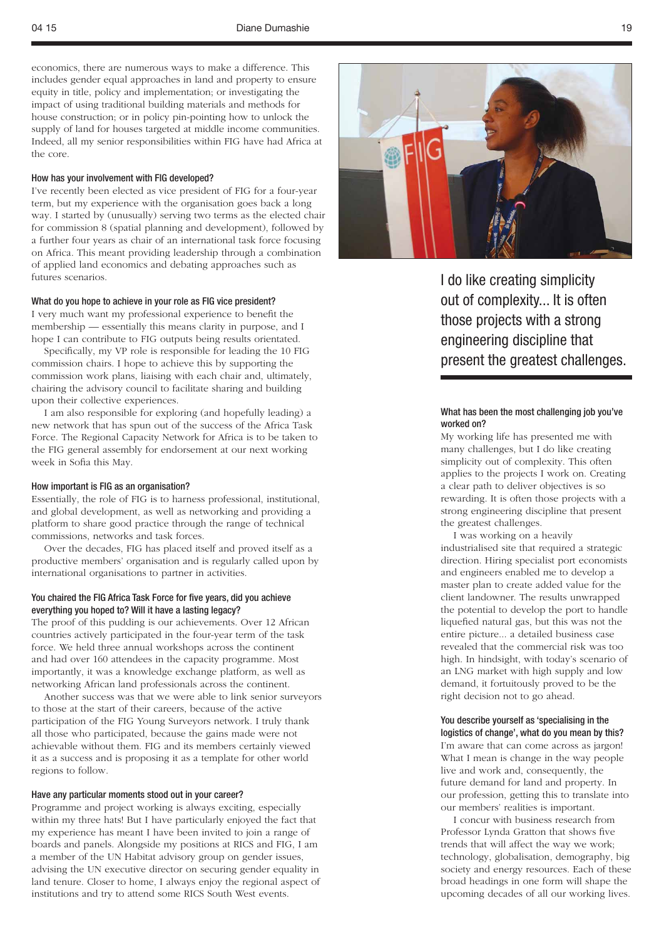economics, there are numerous ways to make a difference. This includes gender equal approaches in land and property to ensure equity in title, policy and implementation; or investigating the impact of using traditional building materials and methods for house construction; or in policy pin-pointing how to unlock the supply of land for houses targeted at middle income communities. Indeed, all my senior responsibilities within FIG have had Africa at the core.

### How has your involvement with FIG developed?

I've recently been elected as vice president of FIG for a four-year term, but my experience with the organisation goes back a long way. I started by (unusually) serving two terms as the elected chair for commission 8 (spatial planning and development), followed by a further four years as chair of an international task force focusing on Africa. This meant providing leadership through a combination of applied land economics and debating approaches such as futures scenarios.

# What do you hope to achieve in your role as FIG vice president?

I very much want my professional experience to benefit the membership — essentially this means clarity in purpose, and I hope I can contribute to FIG outputs being results orientated.

Specifically, my VP role is responsible for leading the 10 FIG commission chairs. I hope to achieve this by supporting the commission work plans, liaising with each chair and, ultimately, chairing the advisory council to facilitate sharing and building upon their collective experiences.

I am also responsible for exploring (and hopefully leading) a new network that has spun out of the success of the Africa Task Force. The Regional Capacity Network for Africa is to be taken to the FIG general assembly for endorsement at our next working week in Sofia this May.

#### How important is FIG as an organisation?

Essentially, the role of FIG is to harness professional, institutional, and global development, as well as networking and providing a platform to share good practice through the range of technical commissions, networks and task forces.

Over the decades, FIG has placed itself and proved itself as a productive members' organisation and is regularly called upon by international organisations to partner in activities.

# You chaired the FIG Africa Task Force for five years, did you achieve everything you hoped to? Will it have a lasting legacy?

The proof of this pudding is our achievements. Over 12 African countries actively participated in the four-year term of the task force. We held three annual workshops across the continent and had over 160 attendees in the capacity programme. Most importantly, it was a knowledge exchange platform, as well as networking African land professionals across the continent.

Another success was that we were able to link senior surveyors to those at the start of their careers, because of the active participation of the FIG Young Surveyors network. I truly thank all those who participated, because the gains made were not achievable without them. FIG and its members certainly viewed it as a success and is proposing it as a template for other world regions to follow.

#### Have any particular moments stood out in your career?

Programme and project working is always exciting, especially within my three hats! But I have particularly enjoyed the fact that my experience has meant I have been invited to join a range of boards and panels. Alongside my positions at RICS and FIG, I am a member of the UN Habitat advisory group on gender issues, advising the UN executive director on securing gender equality in land tenure. Closer to home, I always enjoy the regional aspect of institutions and try to attend some RICS South West events.



I do like creating simplicity out of complexity... It is often those projects with a strong engineering discipline that present the greatest challenges.

## What has been the most challenging job you've worked on?

My working life has presented me with many challenges, but I do like creating simplicity out of complexity. This often applies to the projects I work on. Creating a clear path to deliver objectives is so rewarding. It is often those projects with a strong engineering discipline that present the greatest challenges.

I was working on a heavily industrialised site that required a strategic direction. Hiring specialist port economists and engineers enabled me to develop a master plan to create added value for the client landowner. The results unwrapped the potential to develop the port to handle liquefied natural gas, but this was not the entire picture... a detailed business case revealed that the commercial risk was too high. In hindsight, with today's scenario of an LNG market with high supply and low demand, it fortuitously proved to be the right decision not to go ahead.

#### You describe yourself as 'specialising in the logistics of change', what do you mean by this?

I'm aware that can come across as jargon! What I mean is change in the way people live and work and, consequently, the future demand for land and property. In our profession, getting this to translate into our members' realities is important.

I concur with business research from Professor Lynda Gratton that shows five trends that will affect the way we work; technology, globalisation, demography, big society and energy resources. Each of these broad headings in one form will shape the upcoming decades of all our working lives.